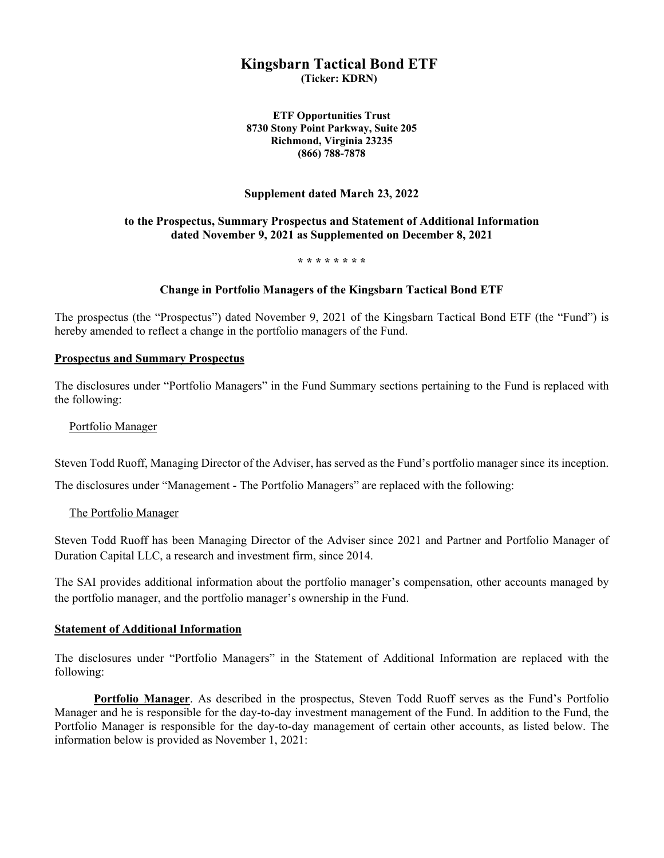# **Kingsbarn Tactical Bond ETF**

**(Ticker: KDRN)**

**ETF Opportunities Trust 8730 Stony Point Parkway, Suite 205 Richmond, Virginia 23235 (866) 788-7878**

## **Supplement dated March 23, 2022**

## **to the Prospectus, Summary Prospectus and Statement of Additional Information dated November 9, 2021 as Supplemented on December 8, 2021**

**\* \* \* \* \* \* \* \*** 

#### **Change in Portfolio Managers of the Kingsbarn Tactical Bond ETF**

The prospectus (the "Prospectus") dated November 9, 2021 of the Kingsbarn Tactical Bond ETF (the "Fund") is hereby amended to reflect a change in the portfolio managers of the Fund.

#### **Prospectus and Summary Prospectus**

The disclosures under "Portfolio Managers" in the Fund Summary sections pertaining to the Fund is replaced with the following:

#### Portfolio Manager

Steven Todd Ruoff, Managing Director of the Adviser, has served as the Fund's portfolio manager since its inception.

The disclosures under "Management - The Portfolio Managers" are replaced with the following:

#### The Portfolio Manager

Steven Todd Ruoff has been Managing Director of the Adviser since 2021 and Partner and Portfolio Manager of Duration Capital LLC, a research and investment firm, since 2014.

The SAI provides additional information about the portfolio manager's compensation, other accounts managed by the portfolio manager, and the portfolio manager's ownership in the Fund.

#### **Statement of Additional Information**

The disclosures under "Portfolio Managers" in the Statement of Additional Information are replaced with the following:

**Portfolio Manager**. As described in the prospectus, Steven Todd Ruoff serves as the Fund's Portfolio Manager and he is responsible for the day-to-day investment management of the Fund. In addition to the Fund, the Portfolio Manager is responsible for the day-to-day management of certain other accounts, as listed below. The information below is provided as November 1, 2021: